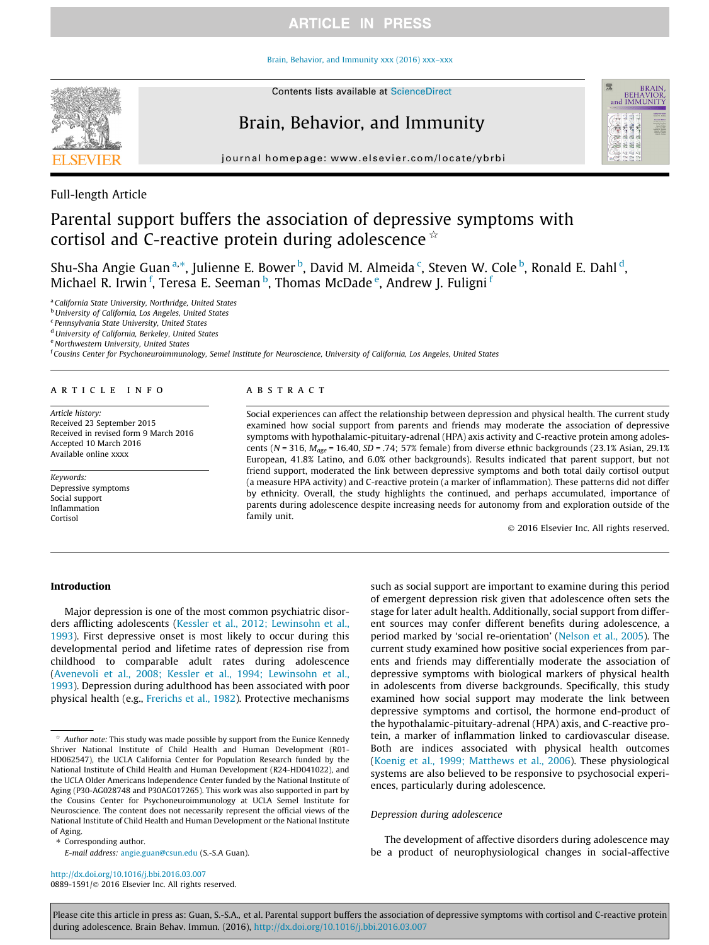### Brain, Behavior, and Immunity xxx (2016) xxx–xxx



# Brain, Behavior, and Immunity



journal homepage: www.elsevier.com/locate/ybrbi

# Full-length Article

# Parental support buffers the association of depressive symptoms with cortisol and C-reactive protein during adolescence  $\dot{\alpha}$

Shu-Sha Angie Guan<sup>a,\*</sup>, Julienne E. Bower <sup>b</sup>, David M. Almeida <sup>c</sup>, Steven W. Cole <sup>b</sup>, Ronald E. Dahl <sup>d</sup>, Michael R. Irwin <sup>f</sup>, Teresa E. Seeman <sup>b</sup>, Thomas McDade <sup>e</sup>, Andrew J. Fuligni <sup>f</sup>

<sup>a</sup> California State University, Northridge, United States

**b University of California, Los Angeles, United States** 

<sup>c</sup> Pennsylvania State University, United States

<sup>d</sup> University of California, Berkeley, United States

<sup>e</sup> Northwestern University, United States

<sup>f</sup> Cousins Center for Psychoneuroimmunology, Semel Institute for Neuroscience, University of California, Los Angeles, United States

### article info

Article history: Received 23 September 2015 Received in revised form 9 March 2016 Accepted 10 March 2016 Available online xxxx

Keywords: Depressive symptoms Social support Inflammation Cortisol

## A B S T R A C T

Social experiences can affect the relationship between depression and physical health. The current study examined how social support from parents and friends may moderate the association of depressive symptoms with hypothalamic-pituitary-adrenal (HPA) axis activity and C-reactive protein among adolescents (N = 316,  $M_{\text{age}}$  = 16.40, SD = .74; 57% female) from diverse ethnic backgrounds (23.1% Asian, 29.1%) European, 41.8% Latino, and 6.0% other backgrounds). Results indicated that parent support, but not friend support, moderated the link between depressive symptoms and both total daily cortisol output (a measure HPA activity) and C-reactive protein (a marker of inflammation). These patterns did not differ by ethnicity. Overall, the study highlights the continued, and perhaps accumulated, importance of parents during adolescence despite increasing needs for autonomy from and exploration outside of the family unit.

2016 Elsevier Inc. All rights reserved.

### Introduction

Major depression is one of the most common psychiatric disorders afflicting adolescents (Kessler et al., 2012; Lewinsohn et al., 1993). First depressive onset is most likely to occur during this developmental period and lifetime rates of depression rise from childhood to comparable adult rates during adolescence (Avenevoli et al., 2008; Kessler et al., 1994; Lewinsohn et al., 1993). Depression during adulthood has been associated with poor physical health (e.g., Frerichs et al., 1982). Protective mechanisms

Corresponding author.

E-mail address: angie.guan@csun.edu (S.-S.A Guan).

http://dx.doi.org/10.1016/j.bbi.2016.03.007 0889-1591/@ 2016 Elsevier Inc. All rights reserved. such as social support are important to examine during this period of emergent depression risk given that adolescence often sets the stage for later adult health. Additionally, social support from different sources may confer different benefits during adolescence, a period marked by 'social re-orientation' (Nelson et al., 2005). The current study examined how positive social experiences from parents and friends may differentially moderate the association of depressive symptoms with biological markers of physical health in adolescents from diverse backgrounds. Specifically, this study examined how social support may moderate the link between depressive symptoms and cortisol, the hormone end-product of the hypothalamic-pituitary-adrenal (HPA) axis, and C-reactive protein, a marker of inflammation linked to cardiovascular disease. Both are indices associated with physical health outcomes (Koenig et al., 1999; Matthews et al., 2006). These physiological systems are also believed to be responsive to psychosocial experiences, particularly during adolescence.

#### Depression during adolescence

The development of affective disorders during adolescence may be a product of neurophysiological changes in social-affective

Author note: This study was made possible by support from the Eunice Kennedy Shriver National Institute of Child Health and Human Development (R01- HD062547), the UCLA California Center for Population Research funded by the National Institute of Child Health and Human Development (R24-HD041022), and the UCLA Older Americans Independence Center funded by the National Institute of Aging (P30-AG028748 and P30AG017265). This work was also supported in part by the Cousins Center for Psychoneuroimmunology at UCLA Semel Institute for Neuroscience. The content does not necessarily represent the official views of the National Institute of Child Health and Human Development or the National Institute of Aging.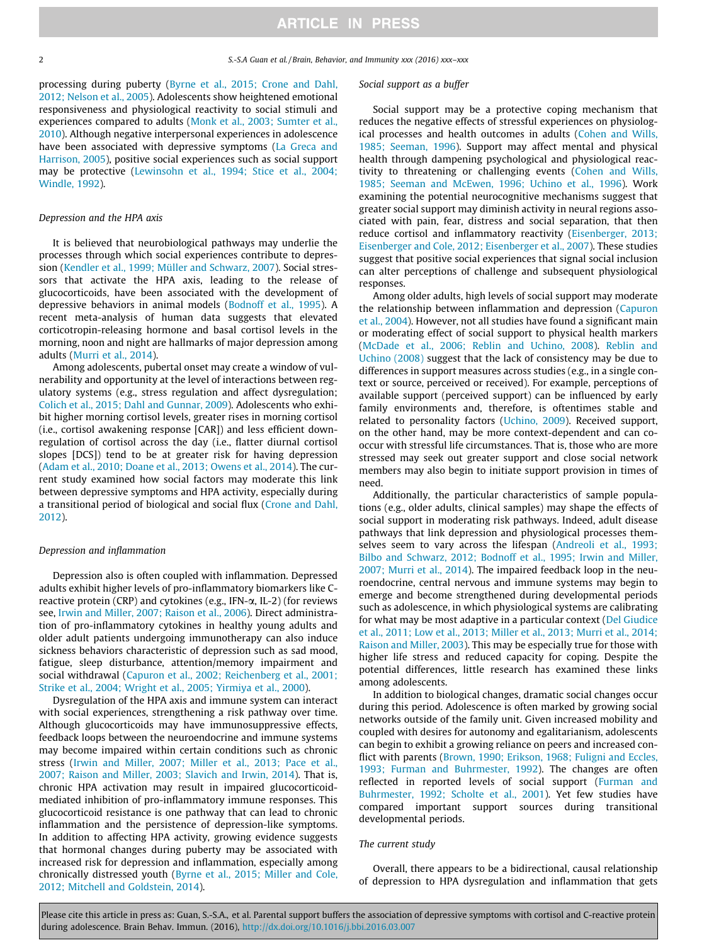processing during puberty (Byrne et al., 2015; Crone and Dahl, 2012; Nelson et al., 2005). Adolescents show heightened emotional responsiveness and physiological reactivity to social stimuli and experiences compared to adults (Monk et al., 2003; Sumter et al., 2010). Although negative interpersonal experiences in adolescence have been associated with depressive symptoms (La Greca and Harrison, 2005), positive social experiences such as social support may be protective (Lewinsohn et al., 1994; Stice et al., 2004; Windle, 1992).

#### Depression and the HPA axis

It is believed that neurobiological pathways may underlie the processes through which social experiences contribute to depression (Kendler et al., 1999; Müller and Schwarz, 2007). Social stressors that activate the HPA axis, leading to the release of glucocorticoids, have been associated with the development of depressive behaviors in animal models (Bodnoff et al., 1995). A recent meta-analysis of human data suggests that elevated corticotropin-releasing hormone and basal cortisol levels in the morning, noon and night are hallmarks of major depression among adults (Murri et al., 2014).

Among adolescents, pubertal onset may create a window of vulnerability and opportunity at the level of interactions between regulatory systems (e.g., stress regulation and affect dysregulation; Colich et al., 2015; Dahl and Gunnar, 2009). Adolescents who exhibit higher morning cortisol levels, greater rises in morning cortisol (i.e., cortisol awakening response [CAR]) and less efficient downregulation of cortisol across the day (i.e., flatter diurnal cortisol slopes [DCS]) tend to be at greater risk for having depression (Adam et al., 2010; Doane et al., 2013; Owens et al., 2014). The current study examined how social factors may moderate this link between depressive symptoms and HPA activity, especially during a transitional period of biological and social flux (Crone and Dahl, 2012).

#### Depression and inflammation

Depression also is often coupled with inflammation. Depressed adults exhibit higher levels of pro-inflammatory biomarkers like Creactive protein (CRP) and cytokines (e.g., IFN- $\alpha$ , IL-2) (for reviews see, Irwin and Miller, 2007; Raison et al., 2006). Direct administration of pro-inflammatory cytokines in healthy young adults and older adult patients undergoing immunotherapy can also induce sickness behaviors characteristic of depression such as sad mood, fatigue, sleep disturbance, attention/memory impairment and social withdrawal (Capuron et al., 2002; Reichenberg et al., 2001; Strike et al., 2004; Wright et al., 2005; Yirmiya et al., 2000).

Dysregulation of the HPA axis and immune system can interact with social experiences, strengthening a risk pathway over time. Although glucocorticoids may have immunosuppressive effects, feedback loops between the neuroendocrine and immune systems may become impaired within certain conditions such as chronic stress (Irwin and Miller, 2007; Miller et al., 2013; Pace et al., 2007; Raison and Miller, 2003; Slavich and Irwin, 2014). That is, chronic HPA activation may result in impaired glucocorticoidmediated inhibition of pro-inflammatory immune responses. This glucocorticoid resistance is one pathway that can lead to chronic inflammation and the persistence of depression-like symptoms. In addition to affecting HPA activity, growing evidence suggests that hormonal changes during puberty may be associated with increased risk for depression and inflammation, especially among chronically distressed youth (Byrne et al., 2015; Miller and Cole, 2012; Mitchell and Goldstein, 2014).

#### Social support as a buffer

Social support may be a protective coping mechanism that reduces the negative effects of stressful experiences on physiological processes and health outcomes in adults (Cohen and Wills, 1985; Seeman, 1996). Support may affect mental and physical health through dampening psychological and physiological reactivity to threatening or challenging events (Cohen and Wills, 1985; Seeman and McEwen, 1996; Uchino et al., 1996). Work examining the potential neurocognitive mechanisms suggest that greater social support may diminish activity in neural regions associated with pain, fear, distress and social separation, that then reduce cortisol and inflammatory reactivity (Eisenberger, 2013; Eisenberger and Cole, 2012; Eisenberger et al., 2007). These studies suggest that positive social experiences that signal social inclusion can alter perceptions of challenge and subsequent physiological responses.

Among older adults, high levels of social support may moderate the relationship between inflammation and depression (Capuron et al., 2004). However, not all studies have found a significant main or moderating effect of social support to physical health markers (McDade et al., 2006; Reblin and Uchino, 2008). Reblin and Uchino (2008) suggest that the lack of consistency may be due to differences in support measures across studies (e.g., in a single context or source, perceived or received). For example, perceptions of available support (perceived support) can be influenced by early family environments and, therefore, is oftentimes stable and related to personality factors (Uchino, 2009). Received support, on the other hand, may be more context-dependent and can cooccur with stressful life circumstances. That is, those who are more stressed may seek out greater support and close social network members may also begin to initiate support provision in times of need.

Additionally, the particular characteristics of sample populations (e.g., older adults, clinical samples) may shape the effects of social support in moderating risk pathways. Indeed, adult disease pathways that link depression and physiological processes themselves seem to vary across the lifespan (Andreoli et al., 1993; Bilbo and Schwarz, 2012; Bodnoff et al., 1995; Irwin and Miller, 2007; Murri et al., 2014). The impaired feedback loop in the neuroendocrine, central nervous and immune systems may begin to emerge and become strengthened during developmental periods such as adolescence, in which physiological systems are calibrating for what may be most adaptive in a particular context (Del Giudice et al., 2011; Low et al., 2013; Miller et al., 2013; Murri et al., 2014; Raison and Miller, 2003). This may be especially true for those with higher life stress and reduced capacity for coping. Despite the potential differences, little research has examined these links among adolescents.

In addition to biological changes, dramatic social changes occur during this period. Adolescence is often marked by growing social networks outside of the family unit. Given increased mobility and coupled with desires for autonomy and egalitarianism, adolescents can begin to exhibit a growing reliance on peers and increased conflict with parents (Brown, 1990; Erikson, 1968; Fuligni and Eccles, 1993; Furman and Buhrmester, 1992). The changes are often reflected in reported levels of social support (Furman and Buhrmester, 1992; Scholte et al., 2001). Yet few studies have compared important support sources during transitional developmental periods.

#### The current study

Overall, there appears to be a bidirectional, causal relationship of depression to HPA dysregulation and inflammation that gets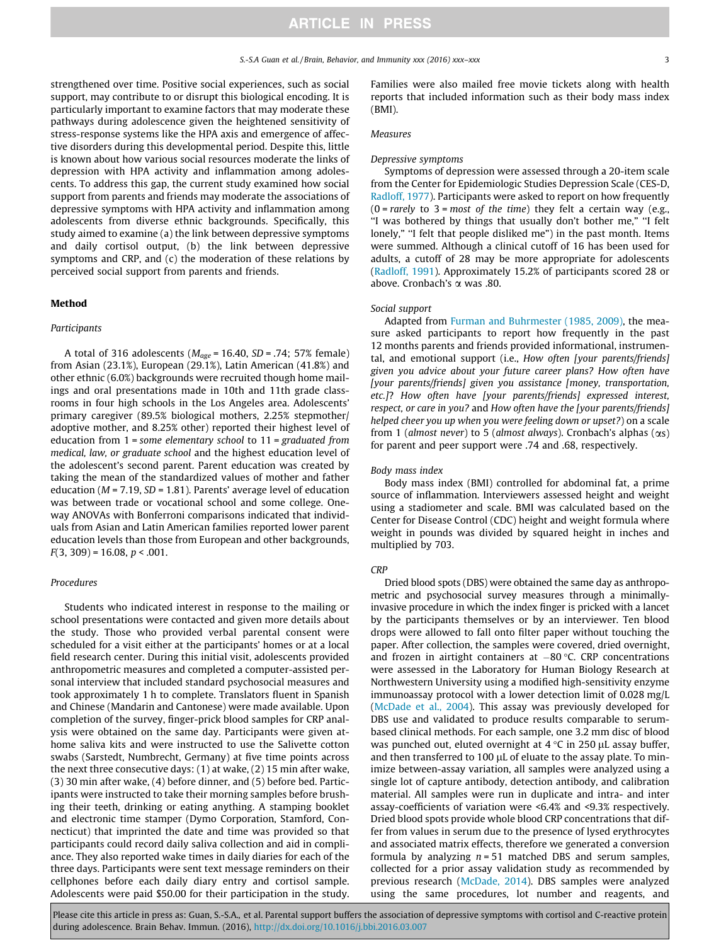strengthened over time. Positive social experiences, such as social support, may contribute to or disrupt this biological encoding. It is particularly important to examine factors that may moderate these pathways during adolescence given the heightened sensitivity of stress-response systems like the HPA axis and emergence of affective disorders during this developmental period. Despite this, little is known about how various social resources moderate the links of depression with HPA activity and inflammation among adolescents. To address this gap, the current study examined how social support from parents and friends may moderate the associations of depressive symptoms with HPA activity and inflammation among adolescents from diverse ethnic backgrounds. Specifically, this study aimed to examine (a) the link between depressive symptoms and daily cortisol output, (b) the link between depressive symptoms and CRP, and (c) the moderation of these relations by perceived social support from parents and friends.

### Method

### Participants

A total of 316 adolescents ( $M_{age}$  = 16.40, SD = .74; 57% female) from Asian (23.1%), European (29.1%), Latin American (41.8%) and other ethnic (6.0%) backgrounds were recruited though home mailings and oral presentations made in 10th and 11th grade classrooms in four high schools in the Los Angeles area. Adolescents' primary caregiver (89.5% biological mothers, 2.25% stepmother/ adoptive mother, and 8.25% other) reported their highest level of education from 1 = some elementary school to 11 = graduated from medical, law, or graduate school and the highest education level of the adolescent's second parent. Parent education was created by taking the mean of the standardized values of mother and father education ( $M = 7.19$ ,  $SD = 1.81$ ). Parents' average level of education was between trade or vocational school and some college. Oneway ANOVAs with Bonferroni comparisons indicated that individuals from Asian and Latin American families reported lower parent education levels than those from European and other backgrounds,  $F(3, 309) = 16.08, p < .001.$ 

## Procedures

Students who indicated interest in response to the mailing or school presentations were contacted and given more details about the study. Those who provided verbal parental consent were scheduled for a visit either at the participants' homes or at a local field research center. During this initial visit, adolescents provided anthropometric measures and completed a computer-assisted personal interview that included standard psychosocial measures and took approximately 1 h to complete. Translators fluent in Spanish and Chinese (Mandarin and Cantonese) were made available. Upon completion of the survey, finger-prick blood samples for CRP analysis were obtained on the same day. Participants were given athome saliva kits and were instructed to use the Salivette cotton swabs (Sarstedt, Numbrecht, Germany) at five time points across the next three consecutive days: (1) at wake, (2) 15 min after wake, (3) 30 min after wake, (4) before dinner, and (5) before bed. Participants were instructed to take their morning samples before brushing their teeth, drinking or eating anything. A stamping booklet and electronic time stamper (Dymo Corporation, Stamford, Connecticut) that imprinted the date and time was provided so that participants could record daily saliva collection and aid in compliance. They also reported wake times in daily diaries for each of the three days. Participants were sent text message reminders on their cellphones before each daily diary entry and cortisol sample. Adolescents were paid \$50.00 for their participation in the study.

Families were also mailed free movie tickets along with health reports that included information such as their body mass index (BMI).

#### Measures

#### Depressive symptoms

Symptoms of depression were assessed through a 20-item scale from the Center for Epidemiologic Studies Depression Scale (CES-D, Radloff, 1977). Participants were asked to report on how frequently  $(0 = rarely to 3 = most of the time)$  they felt a certain way (e.g., ''I was bothered by things that usually don't bother me," ''I felt lonely," "I felt that people disliked me") in the past month. Items were summed. Although a clinical cutoff of 16 has been used for adults, a cutoff of 28 may be more appropriate for adolescents (Radloff, 1991). Approximately 15.2% of participants scored 28 or above. Cronbach's  $\alpha$  was .80.

### Social support

Adapted from Furman and Buhrmester (1985, 2009), the measure asked participants to report how frequently in the past 12 months parents and friends provided informational, instrumental, and emotional support (i.e., How often [your parents/friends] given you advice about your future career plans? How often have [your parents/friends] given you assistance [money, transportation, etc.]? How often have [your parents/friends] expressed interest, respect, or care in you? and How often have the [your parents/friends] helped cheer you up when you were feeling down or upset?) on a scale from 1 (almost never) to 5 (almost always). Cronbach's alphas  $(\infty)$ for parent and peer support were .74 and .68, respectively.

#### Body mass index

Body mass index (BMI) controlled for abdominal fat, a prime source of inflammation. Interviewers assessed height and weight using a stadiometer and scale. BMI was calculated based on the Center for Disease Control (CDC) height and weight formula where weight in pounds was divided by squared height in inches and multiplied by 703.

#### **CRP**

Dried blood spots (DBS) were obtained the same day as anthropometric and psychosocial survey measures through a minimallyinvasive procedure in which the index finger is pricked with a lancet by the participants themselves or by an interviewer. Ten blood drops were allowed to fall onto filter paper without touching the paper. After collection, the samples were covered, dried overnight, and frozen in airtight containers at  $-80$  °C. CRP concentrations were assessed in the Laboratory for Human Biology Research at Northwestern University using a modified high-sensitivity enzyme immunoassay protocol with a lower detection limit of 0.028 mg/L (McDade et al., 2004). This assay was previously developed for DBS use and validated to produce results comparable to serumbased clinical methods. For each sample, one 3.2 mm disc of blood was punched out, eluted overnight at  $4^{\circ}$ C in 250 µL assay buffer, and then transferred to 100  $\mu$ L of eluate to the assay plate. To minimize between-assay variation, all samples were analyzed using a single lot of capture antibody, detection antibody, and calibration material. All samples were run in duplicate and intra- and inter assay-coefficients of variation were <6.4% and <9.3% respectively. Dried blood spots provide whole blood CRP concentrations that differ from values in serum due to the presence of lysed erythrocytes and associated matrix effects, therefore we generated a conversion formula by analyzing  $n = 51$  matched DBS and serum samples, collected for a prior assay validation study as recommended by previous research (McDade, 2014). DBS samples were analyzed using the same procedures, lot number and reagents, and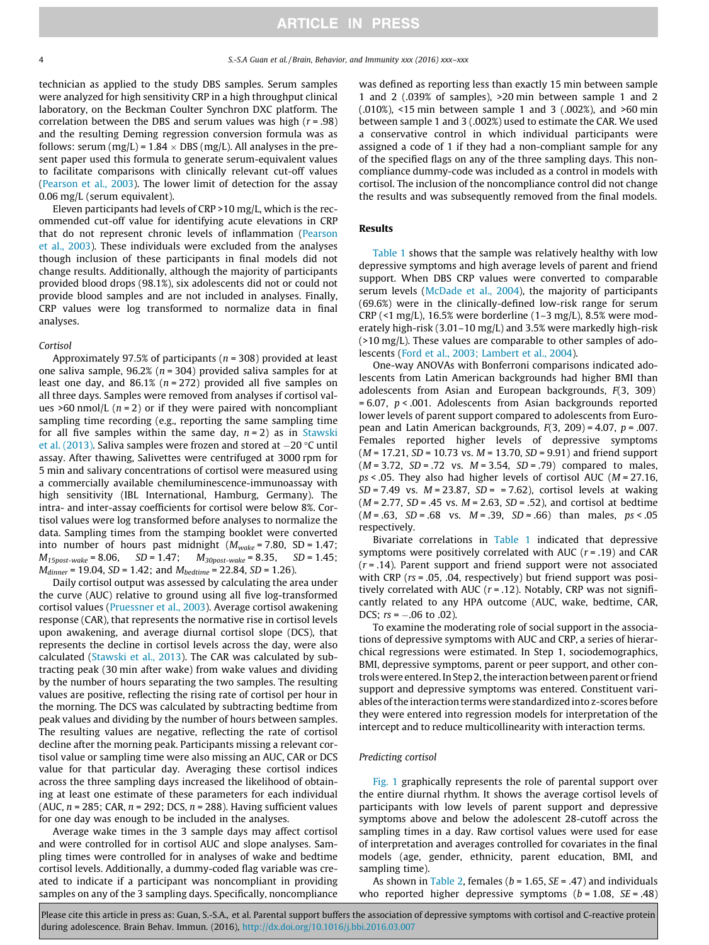technician as applied to the study DBS samples. Serum samples were analyzed for high sensitivity CRP in a high throughput clinical laboratory, on the Beckman Coulter Synchron DXC platform. The correlation between the DBS and serum values was high  $(r = .98)$ and the resulting Deming regression conversion formula was as follows: serum (mg/L) =  $1.84 \times DBS$  (mg/L). All analyses in the present paper used this formula to generate serum-equivalent values to facilitate comparisons with clinically relevant cut-off values (Pearson et al., 2003). The lower limit of detection for the assay 0.06 mg/L (serum equivalent).

Eleven participants had levels of CRP >10 mg/L, which is the recommended cut-off value for identifying acute elevations in CRP that do not represent chronic levels of inflammation (Pearson et al., 2003). These individuals were excluded from the analyses though inclusion of these participants in final models did not change results. Additionally, although the majority of participants provided blood drops (98.1%), six adolescents did not or could not provide blood samples and are not included in analyses. Finally, CRP values were log transformed to normalize data in final analyses.

#### Cortisol

Approximately 97.5% of participants ( $n = 308$ ) provided at least one saliva sample,  $96.2\%$  ( $n = 304$ ) provided saliva samples for at least one day, and 86.1% ( $n = 272$ ) provided all five samples on all three days. Samples were removed from analyses if cortisol values >60 nmol/L  $(n = 2)$  or if they were paired with noncompliant sampling time recording (e.g., reporting the same sampling time for all five samples within the same day,  $n = 2$ ) as in Stawski et al. (2013). Saliva samples were frozen and stored at  $-20$  °C until assay. After thawing, Salivettes were centrifuged at 3000 rpm for 5 min and salivary concentrations of cortisol were measured using a commercially available chemiluminescence-immunoassay with high sensitivity (IBL International, Hamburg, Germany). The intra- and inter-assay coefficients for cortisol were below 8%. Cortisol values were log transformed before analyses to normalize the data. Sampling times from the stamping booklet were converted into number of hours past midnight  $(M_{\text{wake}} = 7.80, SD = 1.47;$  $M_{15post-wake} = 8.06$ ,  $SD = 1.47$ ;  $M_{30post-wake} = 8.35$ ,  $SD = 1.45$ ;  $M_{dinner} = 19.04$ ,  $SD = 1.42$ ; and  $M_{beditime} = 22.84$ ,  $SD = 1.26$ ).

Daily cortisol output was assessed by calculating the area under the curve (AUC) relative to ground using all five log-transformed cortisol values (Pruessner et al., 2003). Average cortisol awakening response (CAR), that represents the normative rise in cortisol levels upon awakening, and average diurnal cortisol slope (DCS), that represents the decline in cortisol levels across the day, were also calculated (Stawski et al., 2013). The CAR was calculated by subtracting peak (30 min after wake) from wake values and dividing by the number of hours separating the two samples. The resulting values are positive, reflecting the rising rate of cortisol per hour in the morning. The DCS was calculated by subtracting bedtime from peak values and dividing by the number of hours between samples. The resulting values are negative, reflecting the rate of cortisol decline after the morning peak. Participants missing a relevant cortisol value or sampling time were also missing an AUC, CAR or DCS value for that particular day. Averaging these cortisol indices across the three sampling days increased the likelihood of obtaining at least one estimate of these parameters for each individual (AUC,  $n = 285$ ; CAR,  $n = 292$ ; DCS,  $n = 288$ ). Having sufficient values for one day was enough to be included in the analyses.

Average wake times in the 3 sample days may affect cortisol and were controlled for in cortisol AUC and slope analyses. Sampling times were controlled for in analyses of wake and bedtime cortisol levels. Additionally, a dummy-coded flag variable was created to indicate if a participant was noncompliant in providing samples on any of the 3 sampling days. Specifically, noncompliance

was defined as reporting less than exactly 15 min between sample 1 and 2 (.039% of samples), >20 min between sample 1 and 2 (.010%), <15 min between sample 1 and 3 (.002%), and >60 min between sample 1 and 3 (.002%) used to estimate the CAR. We used a conservative control in which individual participants were assigned a code of 1 if they had a non-compliant sample for any of the specified flags on any of the three sampling days. This noncompliance dummy-code was included as a control in models with cortisol. The inclusion of the noncompliance control did not change the results and was subsequently removed from the final models.

### Results

Table 1 shows that the sample was relatively healthy with low depressive symptoms and high average levels of parent and friend support. When DBS CRP values were converted to comparable serum levels (McDade et al., 2004), the majority of participants (69.6%) were in the clinically-defined low-risk range for serum CRP (<1 mg/L), 16.5% were borderline (1–3 mg/L), 8.5% were moderately high-risk (3.01–10 mg/L) and 3.5% were markedly high-risk (>10 mg/L). These values are comparable to other samples of adolescents (Ford et al., 2003; Lambert et al., 2004).

One-way ANOVAs with Bonferroni comparisons indicated adolescents from Latin American backgrounds had higher BMI than adolescents from Asian and European backgrounds, F(3, 309)  $= 6.07$ ,  $p < .001$ . Adolescents from Asian backgrounds reported lower levels of parent support compared to adolescents from European and Latin American backgrounds,  $F(3, 209) = 4.07$ ,  $p = .007$ . Females reported higher levels of depressive symptoms  $(M = 17.21, SD = 10.73$  vs.  $M = 13.70, SD = 9.91$  and friend support  $(M = 3.72, SD = .72$  vs.  $M = 3.54, SD = .79$  compared to males,  $ps < .05$ . They also had higher levels of cortisol AUC ( $M = 27.16$ ,  $SD = 7.49$  vs.  $M = 23.87$ ,  $SD = 7.62$ ), cortisol levels at waking  $(M = 2.77, SD = .45$  vs.  $M = 2.63, SD = .52$ ), and cortisol at bedtime  $(M = .63, SD = .68 \text{ vs. } M = .39, SD = .66) \text{ than males, } ps < .05$ respectively.

Bivariate correlations in Table 1 indicated that depressive symptoms were positively correlated with AUC  $(r = .19)$  and CAR  $(r = .14)$ . Parent support and friend support were not associated with CRP ( $rs = .05$ , .04, respectively) but friend support was positively correlated with AUC ( $r = .12$ ). Notably, CRP was not significantly related to any HPA outcome (AUC, wake, bedtime, CAR, DCS;  $rs = -.06$  to .02).

To examine the moderating role of social support in the associations of depressive symptoms with AUC and CRP, a series of hierarchical regressions were estimated. In Step 1, sociodemographics, BMI, depressive symptoms, parent or peer support, and other controlswere entered. In Step 2, the interaction between parent or friend support and depressive symptoms was entered. Constituent variables of the interaction terms were standardized into z-scores before they were entered into regression models for interpretation of the intercept and to reduce multicollinearity with interaction terms.

#### Predicting cortisol

Fig. 1 graphically represents the role of parental support over the entire diurnal rhythm. It shows the average cortisol levels of participants with low levels of parent support and depressive symptoms above and below the adolescent 28-cutoff across the sampling times in a day. Raw cortisol values were used for ease of interpretation and averages controlled for covariates in the final models (age, gender, ethnicity, parent education, BMI, and sampling time).

As shown in Table 2, females ( $b = 1.65$ ,  $SE = .47$ ) and individuals who reported higher depressive symptoms  $(b = 1.08, SE = .48)$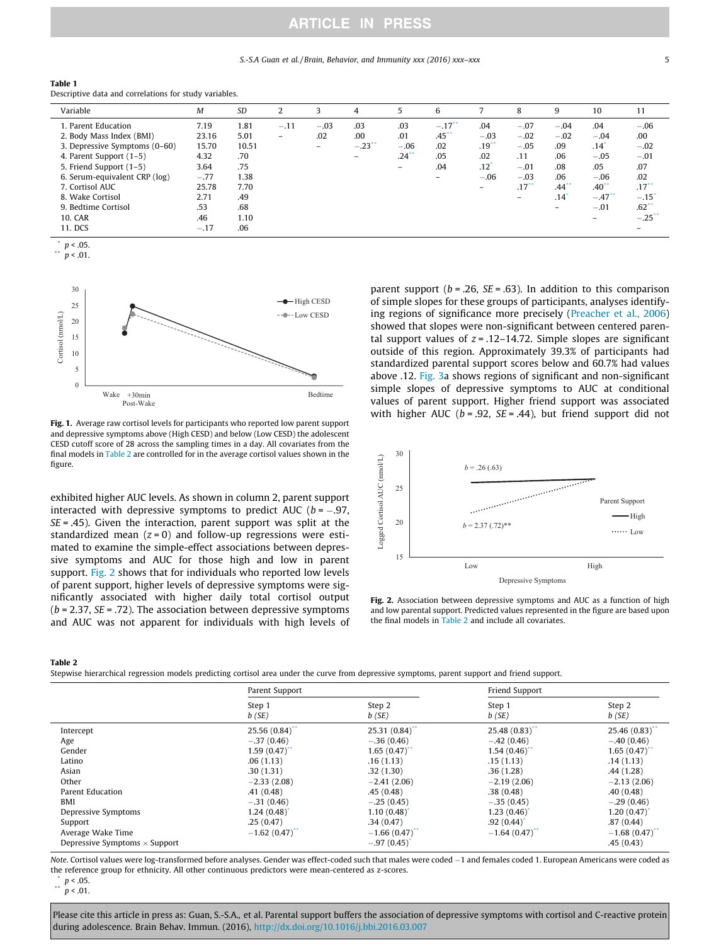### S.-S.A Guan et al. / Brain, Behavior, and Immunity xxx (2016) xxx–xxx 5

| Table 1                                                |
|--------------------------------------------------------|
| Descriptive data and correlations for study variables. |

| Variable                      | M      | <b>SD</b> |                          |                          | 4         |                     | 6                        |                          | 8                        | 9                   | 10                                    | 11                  |
|-------------------------------|--------|-----------|--------------------------|--------------------------|-----------|---------------------|--------------------------|--------------------------|--------------------------|---------------------|---------------------------------------|---------------------|
| 1. Parent Education           | 7.19   | 1.81      | $-.11$                   | $-.03$                   | .03       | .03                 | $-.17$ <sup>**</sup>     | .04                      | $-.07$                   | $-.04$              | .04                                   | $-.06$              |
| 2. Body Mass Index (BMI)      | 23.16  | 5.01      | $\overline{\phantom{0}}$ | .02                      | .00       | .01                 | $.45$                    | $-.03$                   | $-.02$                   | $-.02$              | $-.04$                                | .00                 |
| 3. Depressive Symptoms (0-60) | 15.70  | 10.51     |                          | $\overline{\phantom{0}}$ | $-.23$ ** | $-.06$              | .02                      | .19                      | $-.05$                   | .09                 | $.14$ <sup><math>\degree</math></sup> | $-.02$              |
| 4. Parent Support $(1-5)$     | 4.32   | .70       |                          |                          |           | $.24$ <sup>**</sup> | .05                      | .02                      | .11                      | .06                 | $-.05$                                | $-.01$              |
| 5. Friend Support (1-5)       | 3.64   | .75       |                          |                          |           |                     | .04                      | $.12$ <sup>'</sup>       | $-.01$                   | .08                 | .05                                   | .07                 |
| 6. Serum-equivalent CRP (log) | $-.77$ | 1.38      |                          |                          |           |                     | $\overline{\phantom{0}}$ | $-.06$                   | $-.03$                   | .06                 | $-.06$                                | .02                 |
| 7. Cortisol AUC               | 25.78  | 7.70      |                          |                          |           |                     |                          | $\overline{\phantom{0}}$ | .17                      | $.44$ <sup>**</sup> | $.40$ <sup>**</sup>                   | $.17***$            |
| 8. Wake Cortisol              | 2.71   | .49       |                          |                          |           |                     |                          |                          | $\overline{\phantom{0}}$ | .14                 | $-.47$ <sup>**</sup>                  | $-.15$ <sup>*</sup> |
| 9. Bedtime Cortisol           | .53    | .68       |                          |                          |           |                     |                          |                          |                          | -                   | $-.01$                                | $.62$ **            |
| <b>10. CAR</b>                | .46    | 1.10      |                          |                          |           |                     |                          |                          |                          |                     |                                       | $-.25$ **           |
| 11. DCS                       | $-.17$ | .06       |                          |                          |           |                     |                          |                          |                          |                     |                                       |                     |

 $p < .05$ .  $n < .01$ .

$$
P \sim 0
$$



Fig. 1. Average raw cortisol levels for participants who reported low parent support and depressive symptoms above (High CESD) and below (Low CESD) the adolescent CESD cutoff score of 28 across the sampling times in a day. All covariates from the final models in Table 2 are controlled for in the average cortisol values shown in the figure.

exhibited higher AUC levels. As shown in column 2, parent support interacted with depressive symptoms to predict AUC ( $b = -.97$ ,  $SE = .45$ ). Given the interaction, parent support was split at the standardized mean  $(z = 0)$  and follow-up regressions were estimated to examine the simple-effect associations between depressive symptoms and AUC for those high and low in parent support. Fig. 2 shows that for individuals who reported low levels of parent support, higher levels of depressive symptoms were significantly associated with higher daily total cortisol output  $(b = 2.37, SE = .72)$ . The association between depressive symptoms and AUC was not apparent for individuals with high levels of parent support ( $b = .26$ ,  $SE = .63$ ). In addition to this comparison of simple slopes for these groups of participants, analyses identifying regions of significance more precisely (Preacher et al., 2006) showed that slopes were non-significant between centered parental support values of  $z = .12-14.72$ . Simple slopes are significant outside of this region. Approximately 39.3% of participants had standardized parental support scores below and 60.7% had values above .12. Fig. 3a shows regions of significant and non-significant simple slopes of depressive symptoms to AUC at conditional values of parent support. Higher friend support was associated with higher AUC ( $b = .92$ ,  $SE = .44$ ), but friend support did not



Fig. 2. Association between depressive symptoms and AUC as a function of high and low parental support. Predicted values represented in the figure are based upon the final models in Table 2 and include all covariates.

Table 2

Stepwise hierarchical regression models predicting cortisol area under the curve from depressive symptoms, parent support and friend support.

|                                                                      | Parent Support             |                                            | Friend Support             |                                         |
|----------------------------------------------------------------------|----------------------------|--------------------------------------------|----------------------------|-----------------------------------------|
|                                                                      | Step 1                     | Step 2                                     | Step 1                     | Step 2                                  |
|                                                                      | b(SE)                      | b(SE)                                      | b(SE)                      | b(SE)                                   |
| Intercept                                                            | 25.56(0.84)                | 25.31(0.84)                                | 25.48(0.83)                | 25.46(0.83)                             |
| Age                                                                  | $-.37(0.46)$               | $-.36(0.46)$                               | $-.42(0.46)$               | $-.40(0.46)$                            |
| Gender                                                               | 1.59(0.47)                 | 1.65(0.47)                                 | 1.54(0.46)                 | 1.65(0.47)                              |
| Latino                                                               | .06(1.13)                  | .16(1.13)                                  | .15(1.13)                  | .14(1.13)                               |
| Asian                                                                | .30(1.31)                  | .32(1.30)                                  | .36(1.28)                  | .44(1.28)                               |
| Other                                                                | $-2.33(2.08)$              | $-2.41(2.06)$                              | $-2.19(2.06)$              | $-2.13(2.06)$                           |
| Parent Education                                                     | .41(0.48)                  | .45(0.48)                                  | .38(0.48)                  | .40(0.48)                               |
| BMI                                                                  | $-.31(0.46)$               | $-.25(0.45)$                               | $-.35(0.45)$               | $-.29(0.46)$                            |
| Depressive Symptoms                                                  | 1.24(0.48)                 | 1.10(0.48)                                 | 1.23(0.46)                 | 1.20(0.47)                              |
| Support<br>Average Wake Time<br>Depressive Symptoms $\times$ Support | .25(0.47)<br>$-1.62(0.47)$ | .34(0.47)<br>$-1.66(0.47)$<br>$-.97(0.45)$ | .92(0.44)<br>$-1.64(0.47)$ | .87(0.44)<br>$-1.68(0.47)$<br>.45(0.43) |

Note. Cortisol values were log-transformed before analyses. Gender was effect-coded such that males were coded -1 and females coded 1. European Americans were coded as the reference group for ethnicity. All other continuous predictors were mean-centered as z-scores.

 $\binom{p}{1}$  p < 0.05.

 $p < .01$ .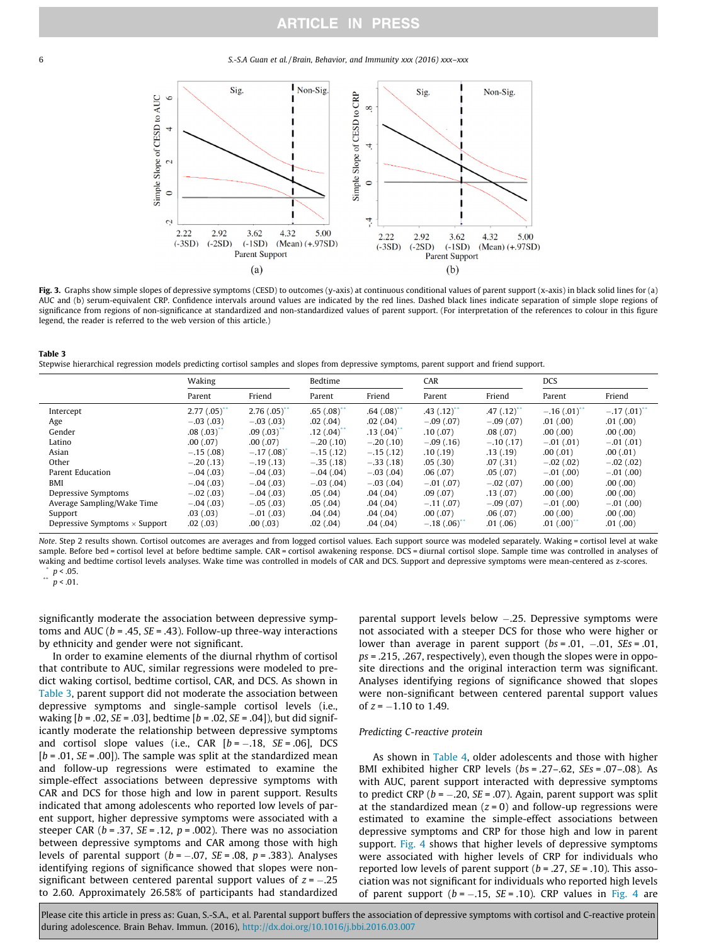6 S.-S.A Guan et al. / Brain, Behavior, and Immunity xxx (2016) xxx–xxx



Fig. 3. Graphs show simple slopes of depressive symptoms (CESD) to outcomes (y-axis) at continuous conditional values of parent support (x-axis) in black solid lines for (a) AUC and (b) serum-equivalent CRP. Confidence intervals around values are indicated by the red lines. Dashed black lines indicate separation of simple slope regions of significance from regions of non-significance at standardized and non-standardized values of parent support. (For interpretation of the references to colour in this figure legend, the reader is referred to the web version of this article.)

| Table 3                                                                                                                                     |
|---------------------------------------------------------------------------------------------------------------------------------------------|
| Stepwise hierarchical regression models predicting cortisol samples and slopes from depressive symptoms, parent support and friend support. |

|                                      | Waking         |             | Bedtime     |              | CAR                |                   | <b>DCS</b>  |                          |
|--------------------------------------|----------------|-------------|-------------|--------------|--------------------|-------------------|-------------|--------------------------|
|                                      | Parent         | Friend      | Parent      | Friend       | Parent             | Friend            | Parent      | Friend                   |
| Intercept                            | $2.77(.05)$ ** | 2.76(.05)   | .65(.08)    | .64(.08)     | $.43$ $(.12)^{**}$ | $.47$ $(.12)^{4}$ | $-.16(.01)$ | $-.17(.01)$ <sup>*</sup> |
| Age                                  | $-.03(.03)$    | $-.03(.03)$ | .02(.04)    | .02(0.04)    | $-.09(.07)$        | $-.09(.07)$       | .01(.00)    | .01(.00)                 |
| Gender                               | .08(.03)       | .09(.03)    | .12(.04)    | .13(.04)     | .10(0.07)          | .08(.07)          | .00(.00)    | .00(.00)                 |
| Latino                               | .00(0.07)      | .00(0.07)   | $-.20(.10)$ | $-.20(.10)$  | $-.09(.16)$        | $-.10(.17)$       | $-.01(.01)$ | $-.01(.01)$              |
| Asian                                | $-.15(.08)$    | $-.17(.08)$ | $-.15(.12)$ | $-.15(.12)$  | .10(.19)           | .13(.19)          | .00(.01)    | .00(0.01)                |
| Other                                | $-.20(.13)$    | $-.19(.13)$ | $-.35(.18)$ | $-.33(.18)$  | .05(.30)           | .07(.31)          | $-.02(.02)$ | $-.02(.02)$              |
| Parent Education                     | $-.04(.03)$    | $-.04(.03)$ | $-.04(.04)$ | $-.03$ (.04) | .06(.07)           | .05(.07)          | $-.01(.00)$ | $-.01(.00)$              |
| BMI                                  | $-.04(.03)$    | $-.04(.03)$ | $-.03(.04)$ | $-.03(.04)$  | $-.01(.07)$        | $-.02(.07)$       | .00(.00)    | .00(.00)                 |
| Depressive Symptoms                  | $-.02(.03)$    | $-.04(.03)$ | .05(.04)    | .04(.04)     | .09(.07)           | .13(0.07)         | .00(.00)    | .00(.00)                 |
| Average Sampling/Wake Time           | $-.04(.03)$    | $-.05(.03)$ | .05(.04)    | .04(.04)     | $-.11(.07)$        | $-.09(.07)$       | $-.01(.00)$ | $-.01(.00)$              |
| Support                              | .03(0.03)      | $-.01(.03)$ | .04(.04)    | .04(.04)     | .00(0.07)          | .06(.07)          | .00(.00)    | .00(.00)                 |
| Depressive Symptoms $\times$ Support | .02(.03)       | .00(.03)    | .02(.04)    | .04(.04)     | $-.18(.06)$        | .01(.06)          | .01(.00)    | .01(.00)                 |

Note. Step 2 results shown. Cortisol outcomes are averages and from logged cortisol values. Each support source was modeled separately. Waking = cortisol level at wake sample. Before bed = cortisol level at before bedtime sample. CAR = cortisol awakening response. DCS = diurnal cortisol slope. Sample time was controlled in analyses of waking and bedtime cortisol levels analyses. Wake time was controlled in models of CAR and DCS. Support and depressive symptoms were mean-centered as z-scores.

 $\binom{p}{1}$  p < .05.  $p < .01$ .

significantly moderate the association between depressive symptoms and AUC ( $b = .45$ ,  $SE = .43$ ). Follow-up three-way interactions by ethnicity and gender were not significant.

In order to examine elements of the diurnal rhythm of cortisol that contribute to AUC, similar regressions were modeled to predict waking cortisol, bedtime cortisol, CAR, and DCS. As shown in Table 3, parent support did not moderate the association between depressive symptoms and single-sample cortisol levels (i.e., waking  $[b = .02, SE = .03]$ , bedtime  $[b = .02, SE = .04]$ ), but did significantly moderate the relationship between depressive symptoms and cortisol slope values (i.e., CAR  $[b = -.18, SE = .06]$ , DCS  $[b = .01, SE = .00]$ ). The sample was split at the standardized mean and follow-up regressions were estimated to examine the simple-effect associations between depressive symptoms with CAR and DCS for those high and low in parent support. Results indicated that among adolescents who reported low levels of parent support, higher depressive symptoms were associated with a steeper CAR ( $b = .37$ , SE = .12,  $p = .002$ ). There was no association between depressive symptoms and CAR among those with high levels of parental support ( $b = -.07$ ,  $SE = .08$ ,  $p = .383$ ). Analyses identifying regions of significance showed that slopes were nonsignificant between centered parental support values of  $z = -.25$ to 2.60. Approximately 26.58% of participants had standardized

parental support levels below -.25. Depressive symptoms were not associated with a steeper DCS for those who were higher or lower than average in parent support ( $bs = .01$ ,  $-.01$ ,  $SEs = .01$ ,  $ps = 0.215, 0.267$ , respectively), even though the slopes were in opposite directions and the original interaction term was significant. Analyses identifying regions of significance showed that slopes were non-significant between centered parental support values of  $z = -1.10$  to 1.49.

#### Predicting C-reactive protein

As shown in Table 4, older adolescents and those with higher BMI exhibited higher CRP levels (bs = .27–.62, SEs = .07–.08). As with AUC, parent support interacted with depressive symptoms to predict CRP ( $b = -.20$ , SE = .07). Again, parent support was split at the standardized mean  $(z = 0)$  and follow-up regressions were estimated to examine the simple-effect associations between depressive symptoms and CRP for those high and low in parent support. Fig. 4 shows that higher levels of depressive symptoms were associated with higher levels of CRP for individuals who reported low levels of parent support ( $b = .27$ ,  $SE = .10$ ). This association was not significant for individuals who reported high levels of parent support ( $b = -.15$ ,  $SE = .10$ ). CRP values in Fig. 4 are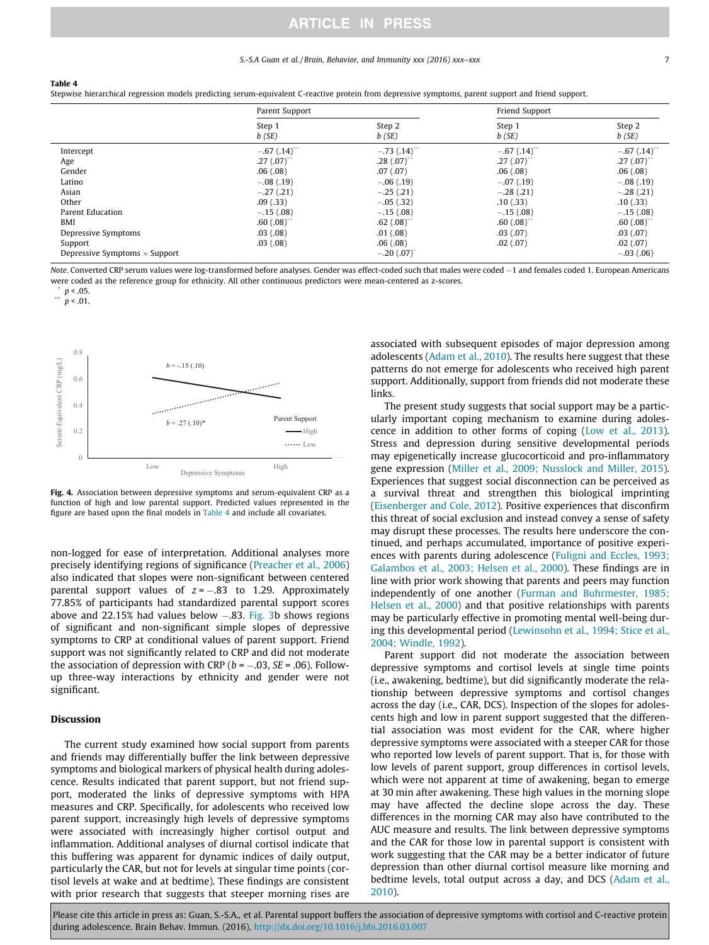#### S.-S.A Guan et al./Brain, Behavior, and Immunity xxx (2016) xxx–xxx 7

#### Table 4

Stepwise hierarchical regression models predicting serum-equivalent C-reactive protein from depressive symptoms, parent support and friend support.

|                                      | Parent Support  |                 | Friend Support          |                          |
|--------------------------------------|-----------------|-----------------|-------------------------|--------------------------|
|                                      | Step 1<br>b(SE) | Step 2<br>b(SE) | Step 1<br>b(SE)         | Step 2<br>b(SE)          |
| Intercept                            | $-.67(.14)$     | $-.73$ $(.14)$  | $-.67(.14)$             | $-.67(.14)$ <sup>*</sup> |
| Age                                  | .27(.07)        | .28(.07)        | $.27(.07)$ <sup>*</sup> | .27(.07)                 |
| Gender                               | .06(.08)        | .07(.07)        | .06(.08)                | .06(.08)                 |
| Latino                               | $-.08(.19)$     | $-.06(.19)$     | $-.07(.19)$             | $-.08(.19)$              |
| Asian                                | $-.27(.21)$     | $-.25(.21)$     | $-.28(.21)$             | $-.28(.21)$              |
| Other                                | .09(.33)        | $-.05(.32)$     | .10(0.33)               | .10(0.33)                |
| Parent Education                     | $-.15(.08)$     | $-.15(.08)$     | $-.15(.08)$             | $-.15(.08)$              |
| BMI                                  | $.60(.08)^*$    | .62(.08)        | .60(.08)                | .60(.08)                 |
| Depressive Symptoms                  | .03(.08)        | .01(.08)        | .03(.07)                | .03(.07)                 |
| Support                              | .03(.08)        | .06(.08)        | .02(.07)                | .02(.07)                 |
| Depressive Symptoms $\times$ Support |                 | $-.20(.07)$     |                         | $-.03(.06)$              |

Note. Converted CRP serum values were log-transformed before analyses. Gender was effect-coded such that males were coded -1 and females coded 1. European Americans were coded as the reference group for ethnicity. All other continuous predictors were mean-centered as z-scores.

 $p < .01$ .



Fig. 4. Association between depressive symptoms and serum-equivalent CRP as a function of high and low parental support. Predicted values represented in the figure are based upon the final models in Table 4 and include all covariates.

non-logged for ease of interpretation. Additional analyses more precisely identifying regions of significance (Preacher et al., 2006) also indicated that slopes were non-significant between centered parental support values of  $z = -.83$  to 1.29. Approximately 77.85% of participants had standardized parental support scores above and 22.15% had values below  $-.83$ . Fig. 3b shows regions of significant and non-significant simple slopes of depressive symptoms to CRP at conditional values of parent support. Friend support was not significantly related to CRP and did not moderate the association of depression with CRP ( $b = -.03$ ,  $SE = .06$ ). Followup three-way interactions by ethnicity and gender were not significant.

#### Discussion

The current study examined how social support from parents and friends may differentially buffer the link between depressive symptoms and biological markers of physical health during adolescence. Results indicated that parent support, but not friend support, moderated the links of depressive symptoms with HPA measures and CRP. Specifically, for adolescents who received low parent support, increasingly high levels of depressive symptoms were associated with increasingly higher cortisol output and inflammation. Additional analyses of diurnal cortisol indicate that this buffering was apparent for dynamic indices of daily output, particularly the CAR, but not for levels at singular time points (cortisol levels at wake and at bedtime). These findings are consistent with prior research that suggests that steeper morning rises are associated with subsequent episodes of major depression among adolescents (Adam et al., 2010). The results here suggest that these patterns do not emerge for adolescents who received high parent support. Additionally, support from friends did not moderate these links.

The present study suggests that social support may be a particularly important coping mechanism to examine during adolescence in addition to other forms of coping (Low et al., 2013). Stress and depression during sensitive developmental periods may epigenetically increase glucocorticoid and pro-inflammatory gene expression (Miller et al., 2009; Nusslock and Miller, 2015). Experiences that suggest social disconnection can be perceived as a survival threat and strengthen this biological imprinting (Eisenberger and Cole, 2012). Positive experiences that disconfirm this threat of social exclusion and instead convey a sense of safety may disrupt these processes. The results here underscore the continued, and perhaps accumulated, importance of positive experiences with parents during adolescence (Fuligni and Eccles, 1993; Galambos et al., 2003; Helsen et al., 2000). These findings are in line with prior work showing that parents and peers may function independently of one another (Furman and Buhrmester, 1985; Helsen et al., 2000) and that positive relationships with parents may be particularly effective in promoting mental well-being during this developmental period (Lewinsohn et al., 1994; Stice et al., 2004; Windle, 1992).

Parent support did not moderate the association between depressive symptoms and cortisol levels at single time points (i.e., awakening, bedtime), but did significantly moderate the relationship between depressive symptoms and cortisol changes across the day (i.e., CAR, DCS). Inspection of the slopes for adolescents high and low in parent support suggested that the differential association was most evident for the CAR, where higher depressive symptoms were associated with a steeper CAR for those who reported low levels of parent support. That is, for those with low levels of parent support, group differences in cortisol levels, which were not apparent at time of awakening, began to emerge at 30 min after awakening. These high values in the morning slope may have affected the decline slope across the day. These differences in the morning CAR may also have contributed to the AUC measure and results. The link between depressive symptoms and the CAR for those low in parental support is consistent with work suggesting that the CAR may be a better indicator of future depression than other diurnal cortisol measure like morning and bedtime levels, total output across a day, and DCS (Adam et al., 2010).

 $p < .05$ .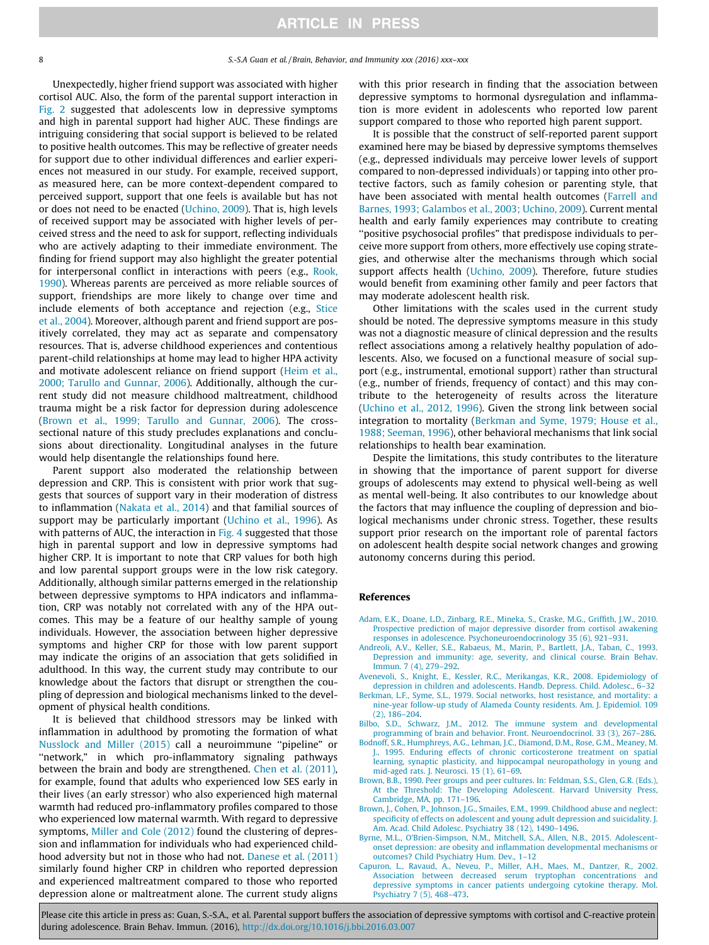Unexpectedly, higher friend support was associated with higher cortisol AUC. Also, the form of the parental support interaction in Fig. 2 suggested that adolescents low in depressive symptoms and high in parental support had higher AUC. These findings are intriguing considering that social support is believed to be related to positive health outcomes. This may be reflective of greater needs for support due to other individual differences and earlier experiences not measured in our study. For example, received support, as measured here, can be more context-dependent compared to perceived support, support that one feels is available but has not or does not need to be enacted (Uchino, 2009). That is, high levels of received support may be associated with higher levels of perceived stress and the need to ask for support, reflecting individuals who are actively adapting to their immediate environment. The finding for friend support may also highlight the greater potential for interpersonal conflict in interactions with peers (e.g., Rook, 1990). Whereas parents are perceived as more reliable sources of support, friendships are more likely to change over time and include elements of both acceptance and rejection (e.g., Stice et al., 2004). Moreover, although parent and friend support are positively correlated, they may act as separate and compensatory resources. That is, adverse childhood experiences and contentious parent-child relationships at home may lead to higher HPA activity and motivate adolescent reliance on friend support (Heim et al., 2000; Tarullo and Gunnar, 2006). Additionally, although the current study did not measure childhood maltreatment, childhood trauma might be a risk factor for depression during adolescence (Brown et al., 1999; Tarullo and Gunnar, 2006). The crosssectional nature of this study precludes explanations and conclusions about directionality. Longitudinal analyses in the future would help disentangle the relationships found here.

Parent support also moderated the relationship between depression and CRP. This is consistent with prior work that suggests that sources of support vary in their moderation of distress to inflammation (Nakata et al., 2014) and that familial sources of support may be particularly important (Uchino et al., 1996). As with patterns of AUC, the interaction in Fig. 4 suggested that those high in parental support and low in depressive symptoms had higher CRP. It is important to note that CRP values for both high and low parental support groups were in the low risk category. Additionally, although similar patterns emerged in the relationship between depressive symptoms to HPA indicators and inflammation, CRP was notably not correlated with any of the HPA outcomes. This may be a feature of our healthy sample of young individuals. However, the association between higher depressive symptoms and higher CRP for those with low parent support may indicate the origins of an association that gets solidified in adulthood. In this way, the current study may contribute to our knowledge about the factors that disrupt or strengthen the coupling of depression and biological mechanisms linked to the development of physical health conditions.

It is believed that childhood stressors may be linked with inflammation in adulthood by promoting the formation of what Nusslock and Miller (2015) call a neuroimmune ''pipeline" or "network," in which pro-inflammatory signaling pathways between the brain and body are strengthened. Chen et al. (2011), for example, found that adults who experienced low SES early in their lives (an early stressor) who also experienced high maternal warmth had reduced pro-inflammatory profiles compared to those who experienced low maternal warmth. With regard to depressive symptoms, Miller and Cole (2012) found the clustering of depression and inflammation for individuals who had experienced childhood adversity but not in those who had not. Danese et al. (2011) similarly found higher CRP in children who reported depression and experienced maltreatment compared to those who reported depression alone or maltreatment alone. The current study aligns with this prior research in finding that the association between depressive symptoms to hormonal dysregulation and inflammation is more evident in adolescents who reported low parent support compared to those who reported high parent support.

It is possible that the construct of self-reported parent support examined here may be biased by depressive symptoms themselves (e.g., depressed individuals may perceive lower levels of support compared to non-depressed individuals) or tapping into other protective factors, such as family cohesion or parenting style, that have been associated with mental health outcomes (Farrell and Barnes, 1993; Galambos et al., 2003; Uchino, 2009). Current mental health and early family experiences may contribute to creating ''positive psychosocial profiles" that predispose individuals to perceive more support from others, more effectively use coping strategies, and otherwise alter the mechanisms through which social support affects health (Uchino, 2009). Therefore, future studies would benefit from examining other family and peer factors that may moderate adolescent health risk.

Other limitations with the scales used in the current study should be noted. The depressive symptoms measure in this study was not a diagnostic measure of clinical depression and the results reflect associations among a relatively healthy population of adolescents. Also, we focused on a functional measure of social support (e.g., instrumental, emotional support) rather than structural (e.g., number of friends, frequency of contact) and this may contribute to the heterogeneity of results across the literature (Uchino et al., 2012, 1996). Given the strong link between social integration to mortality (Berkman and Syme, 1979; House et al., 1988; Seeman, 1996), other behavioral mechanisms that link social relationships to health bear examination.

Despite the limitations, this study contributes to the literature in showing that the importance of parent support for diverse groups of adolescents may extend to physical well-being as well as mental well-being. It also contributes to our knowledge about the factors that may influence the coupling of depression and biological mechanisms under chronic stress. Together, these results support prior research on the important role of parental factors on adolescent health despite social network changes and growing autonomy concerns during this period.

#### References

- Adam, E.K., Doane, L.D., Zinbarg, R.E., Mineka, S., Craske, M.G., Griffith, J.W., 2010. Prospective prediction of major depressive disorder from cortisol awakening responses in adolescence. Psychoneuroendocrinology 35 (6), 921–931.
- Andreoli, A.V., Keller, S.E., Rabaeus, M., Marin, P., Bartlett, J.A., Taban, C., 1993. Depression and immunity: age, severity, and clinical course. Brain Behav. Immun. 7 (4), 279–292.
- Avenevoli, S., Knight, E., Kessler, R.C., Merikangas, K.R., 2008. Epidemiology of depression in children and adolescents. Handb. Depress. Child. Adolesc., 6
- Berkman, L.F., Syme, S.L., 1979. Social networks, host resistance, and mortality: a nine-year follow-up study of Alameda County residents. Am. J. Epidemiol. 109 (2), 186–204.
- Bilbo, S.D., Schwarz, J.M., 2012. The immune system and developmental programming of brain and behavior. Front. Neuroendocrinol. 33 (3), 267–286.
- Bodnoff, S.R., Humphreys, A.G., Lehman, J.C., Diamond, D.M., Rose, G.M., Meaney, M. J., 1995. Enduring effects of chronic corticosterone treatment on spatial learning, synaptic plasticity, and hippocampal neuropathology in young and mid-aged rats. J. Neurosci. 15 (1), 61–69.
- Brown, B.B., 1990. Peer groups and peer cultures. In: Feldman, S.S., Glen, G.R. (Eds.), At the Threshold: The Developing Adolescent. Harvard University Press, Cambridge, MA, pp. 171–196.
- Brown, J., Cohen, P., Johnson, J.G., Smailes, E.M., 1999. Childhood abuse and neglect: specificity of effects on adolescent and young adult depression and suicidality. J. Am. Acad. Child Adolesc. Psychiatry 38 (12), 1490–1496.
- Byrne, M.L., O'Brien-Simpson, N.M., Mitchell, S.A., Allen, N.B., 2015. Adolescentonset depression: are obesity and inflammation developmental mechanisms or outcomes? Child Psychiatry Hum. Dev., 1–12
- Capuron, L., Ravaud, A., Neveu, P., Miller, A.H., Maes, M., Dantzer, R., 2002. Association between decreased serum tryptophan concentrations depressive symptoms in cancer patients undergoing cytokine therapy. Mol. Psychiatry 7 (5), 468–473.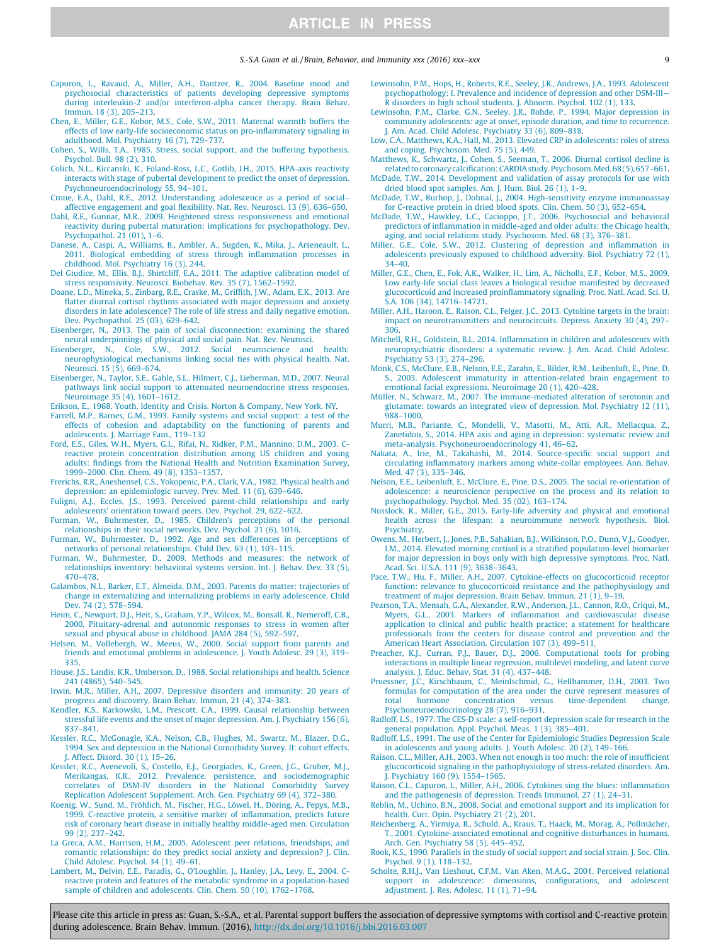#### S.-S.A Guan et al. / Brain, Behavior, and Immunity xxx (2016) xxx–xxx 9

- Capuron, L., Ravaud, A., Miller, A.H., Dantzer, R., 2004. Baseline mood and psychosocial characteristics of patients developing depressive symptoms during interleukin-2 and/or interferon-alpha cancer therapy. Brain Behav. Immun. 18 (3), 205–213.
- Chen, E., Miller, G.E., Kobor, M.S., Cole, S.W., 2011. Maternal warmth buffers the effects of low early-life socioeconomic status on pro-inflammatory signaling in adulthood. Mol. Psychiatry 16 (7), 729–737.
- Cohen, S., Wills, T.A., 1985. Stress, social support, and the buffering hypothesis. Psychol. Bull. 98 (2), 310.
- Colich, N.L., Kircanski, K., Foland-Ross, L.C., Gotlib, I.H., 2015. HPA-axis reactivity interacts with stage of pubertal development to predict the onset of depression. Psychoneuroendocrinology 55, 94–101.
- Crone, E.A., Dahl, R.E., 2012. Understanding adolescence as a period of social– affective engagement and goal flexibility. Nat. Rev. Neurosci. 13 (9), 636–650.
- Dahl, R.E., Gunnar, M.R., 2009. Heightened stress responsiveness and emotional reactivity during pubertal maturation: implications for psychopathology. Dev. Psychopathol. 21 (01), 1–6.
- Danese, A., Caspi, A., Williams, B., Ambler, A., Sugden, K., Mika, J., Arseneault, L., 2011. Biological embedding of stress through inflammation processes in childhood. Mol. Psychiatry 16 (3), 244.
- Del Giudice, M., Ellis, B.J., Shirtcliff, E.A., 2011. The adaptive calibration model of stress responsivity. Neurosci. Biobehav. Rev. 35 (7), 1562–1592.
- Doane, L.D., Mineka, S., Zinbarg, R.E., Craske, M., Griffith, J.W., Adam, E.K., 2013. Are flatter diurnal cortisol rhythms associated with major depression and anxiety disorders in late adolescence? The role of life stress and daily negative emotion. Dev. Psychopathol. 25 (03), 629–642.
- Eisenberger, N., 2013. The pain of social disconnection: examining the shared neural underpinnings of physical and social pain. Nat. Rev. Neurosci.
- Eisenberger, N., Cole, S.W., 2012. Social neuroscience and health: neurophysiological mechanisms linking social ties with physical health. Nat. Neurosci. 15 (5), 669–674.
- Eisenberger, N., Taylor, S.E., Gable, S.L., Hilmert, C.J., Lieberman, M.D., 2007. Neural pathways link social support to attenuated neuroendocrine stress responses. Neuroimage 35 (4), 1601–1612.
- Erikson, E., 1968. Youth, Identity and Crisis. Norton & Company, New York, NY.
- Farrell, M.P., Barnes, G.M., 1993. Family systems and social support: a test of the effects of cohesion and adaptability on the functioning of parents and adolescents. J. Marriage Fam., 119–132
- Ford, E.S., Giles, W.H., Myers, G.L., Rifai, N., Ridker, P.M., Mannino, D.M., 2003. Creactive protein concentration distribution among US children and young adults: findings from the National Health and Nutrition Examination Survey, 1999–2000. Clin. Chem. 49 (8), 1353–1357.
- Frerichs, R.R., Aneshensel, C.S., Yokopenic, P.A., Clark, V.A., 1982. Physical health and depression: an epidemiologic survey. Prev. Med. 11 (6), 639–646.
- Fuligni, A.J., Eccles, J.S., 1993. Perceived parent-child relationships and early adolescents' orientation toward peers. Dev. Psychol. 29, 622–622.
- Furman, W., Buhrmester, D., 1985. Children's perceptions of the personal relationships in their social networks. Dev. Psychol. 21 (6), 1016.
- Furman, W., Buhrmester, D., 1992. Age and sex differences in perceptions of networks of personal relationships. Child Dev. 63 (1), 103–115. Furman, W., Buhrmester, D., 2009. Methods and measures: the network of
- relationships inventory: behavioral systems version. Int. J. Behav. Dev. 33 (5), 470–478.
- Galambos, N.L., Barker, E.T., Almeida, D.M., 2003. Parents do matter: trajectories of change in externalizing and internalizing problems in early adolescence. Child Dev. 74 (2), 578–594.
- Heim, C., Newport, D.J., Heit, S., Graham, Y.P., Wilcox, M., Bonsall, R., Nemeroff, C.B., 2000. Pituitary-adrenal and autonomic responses to stress in women after sexual and physical abuse in childhood. JAMA 284 (5), 592–597.
- Helsen, M., Vollebergh, W., Meeus, W., 2000. Social support from parents and friends and emotional problems in adolescence. J. Youth Adolesc. 29 (3), 319– 335.
- House, J.S., Landis, K.R., Umberson, D., 1988. Social relationships and health. Science 241 (4865), 540–545.
- Irwin, M.R., Miller, A.H., 2007. Depressive disorders and immunity: 20 years of progress and discovery. Brain Behav. Immun. 21 (4), 374–383.
- Kendler, K.S., Karkowski, L.M., Prescott, C.A., 1999. Causal relationship between stressful life events and the onset of major depression. Am. J. Psychiatry 156 (6), 837–841.
- Kessler, R.C., McGonagle, K.A., Nelson, C.B., Hughes, M., Swartz, M., Blazer, D.G., 1994. Sex and depression in the National Comorbidity Survey. II: cohort effects. J. Affect. Disord. 30 (1), 15–26.
- Kessler, R.C., Avenevoli, S., Costello, E.J., Georgiades, K., Green, J.G., Gruber, M.J. Merikangas, K.R., 2012. Prevalence, persistence, and sociodemographic correlates of DSM-IV disorders in the National Comorbidity Survey Replication Adolescent Supplement. Arch. Gen. Psychiatry 69 (4), 372–380.
- Koenig, W., Sund, M., Fröhlich, M., Fischer, H.G., Löwel, H., Döring, A., Pepys, M.B., 1999. C-reactive protein, a sensitive marker of inflammation, predicts future risk of coronary heart disease in initially healthy middle-aged men. Circulation 99 (2), 237–242.
- La Greca, A.M., Harrison, H.M., 2005. Adolescent peer relations, friendships, and romantic relationships: do they predict social anxiety and depression? J. Clin. Child Adolesc. Psychol. 34 (1), 49–61.
- Lambert, M., Delvin, E.E., Paradis, G., O'Loughlin, J., Hanley, J.A., Levy, E., 2004. Creactive protein and features of the metabolic syndrome in a population-based sample of children and adolescents. Clin. Chem. 50 (10), 1762–1768.
- Lewinsohn, P.M., Hops, H., Roberts, R.E., Seeley, J.R., Andrews, J.A., 1993. Adolescent psychopathology: I. Prevalence and incidence of depression and other DSM-III— R disorders in high school students. J. Abnorm. Psychol. 102 (1), 133.
- Lewinsohn, P.M., Clarke, G.N., Seeley, J.R., Rohde, P., 1994. Major depression in community adolescents: age at onset, episode duration, and time to recurrence. J. Am. Acad. Child Adolesc. Psychiatry 33 (6), 809–818.
- Low, C.A., Matthews, K.A., Hall, M., 2013. Elevated CRP in adolescents: roles of stress and coping. Psychosom. Med. 75 (5), 449.
- Matthews, K., Schwartz, J., Cohen, S., Seeman, T., 2006. Diurnal cortisol decline is related to coronary calcification: CARDIA study. Psychosom. Med. 68(5), 657-661.
- McDade, T.W., 2014. Development and validation of assay protocols for use with dried blood spot samples. Am. J. Hum. Biol. 26 (1), 1–9.
- McDade, T.W., Burhop, J., Dohnal, J., 2004. High-sensitivity enzyme immunoassay for C-reactive protein in dried blood spots. Clin. Chem. 50 (3), 652–654.
- McDade, T.W., Hawkley, L.C., Cacioppo, J.T., 2006. Psychosocial and behavioral predictors of inflammation in middle-aged and older adults: the Chicago health, aging, and social relations study. Psychosom. Med. 68 (3), 376–381.
- Miller, G.E., Cole, S.W., 2012. Clustering of depression and inflammation in adolescents previously exposed to childhood adversity. Biol. Psychiatry 72 (1), 34–40.
- Miller, G.E., Chen, E., Fok, A.K., Walker, H., Lim, A., Nicholls, E.F., Kobor, M.S., 2009. Low early-life social class leaves a biological residue manifested by decreased glucocorticoid and increased proinflammatory signaling. Proc. Natl. Acad. Sci. U. S.A. 106 (34), 14716–14721.
- Miller, A.H., Haroon, E., Raison, C.L., Felger, J.C., 2013. Cytokine targets in the brain: impact on neurotransmitters and neurocircuits. Depress. Anxiety 30 (4), 297– 306.
- Mitchell, R.H., Goldstein, B.I., 2014. Inflammation in children and adolescents with neuropsychiatric disorders: a systematic review. J. Am. Acad. Child Adolesc. Psychiatry 53 (3), 274–296.
- Monk, C.S., McClure, E.B., Nelson, E.E., Zarahn, E., Bilder, R.M., Leibenluft, E., Pine, D. S., 2003. Adolescent immaturity in attention-related brain engagement to emotional facial expressions. Neuroimage 20 (1), 420–428.
- Müller, N., Schwarz, M., 2007. The immune-mediated alteration of serotonin and glutamate: towards an integrated view of depression. Mol. Psychiatry 12 (11), 988–1000.
- Murri, M.B., Pariante, C., Mondelli, V., Masotti, M., Atti, A.R., Mellacqua, Z. Zanetidou, S., 2014. HPA axis and aging in depression: systematic review and meta-analysis. Psychoneuroendocrinology 41, 46–62.
- Nakata, A., Irie, M., Takahashi, M., 2014. Source-specific social support and circulating inflammatory markers among white-collar employees. Ann. Behav. Med. 47 (3), 335–346.
- Nelson, E.E., Leibenluft, E., McClure, E., Pine, D.S., 2005. The social re-orientation of adolescence: a neuroscience perspective on the process and its relation to psychopathology. Psychol. Med. 35 (02), 163–174.
- Nusslock, R., Miller, G.E., 2015. Early-life adversity and physical and emotional health across the lifespan: a neuroimmune network hypothesis. Biol. Psychiatry.
- Owens, M., Herbert, J., Jones, P.B., Sahakian, B.J., Wilkinson, P.O., Dunn, V.J., Goodyer, I.M., 2014. Elevated morning cortisol is a stratified population-level biomarker for major depression in boys only with high depressive symptoms. Proc. Natl. Acad. Sci. U.S.A. 111 (9), 3638–3643.
- Pace, T.W., Hu, F., Miller, A.H., 2007. Cytokine-effects on glucocorticoid receptor function: relevance to glucocorticoid resistance and the pathophysiology and treatment of major depression. Brain Behav. Immun. 21 (1), 9–19.
- Pearson, T.A., Mensah, G.A., Alexander, R.W., Anderson, J.L., Cannon, R.O., Criqui, M., Myers, G.L., 2003. Markers of inflammation and cardiovascular disease application to clinical and public health practice: a statement for healthcare professionals from the centers for disease control and prevention and the American Heart Association. Circulation 107 (3), 499–511.
- Preacher, K.J., Curran, P.J., Bauer, D.J., 2006. Computational tools for probing interactions in multiple linear regression, multilevel modeling, and latent curve analysis. J. Educ. Behav. Stat. 31 (4), 437–448.
- Pruessner, J.C., Kirschbaum, C., Meinlschmid, G., Hellhammer, D.H., 2003. Two formulas for computation of the area under the curve represent measures of total hormone concentration versus time-dependent change. Psychoneuroendocrinology 28 (7), 916–931.
- Radloff, L.S., 1977. The CES-D scale: a self-report depression scale for research in the general population. Appl. Psychol. Meas. 1 (3), 385–401.
- Radloff, L.S., 1991. The use of the Center for Epidemiologic Studies Depression Scale in adolescents and young adults. J. Youth Adolesc. 20 (2), 149–166.
- Raison, C.L., Miller, A.H., 2003. When not enough is too much: the role of insufficient glucocorticoid signaling in the pathophysiology of stress-related disorders. Am. J. Psychiatry 160 (9), 1554–1565.
- Raison, C.L., Capuron, L., Miller, A.H., 2006. Cytokines sing the blues: inflammation and the pathogenesis of depression. Trends Immunol. 27 (1), 24–31.
- Reblin, M., Uchino, B.N., 2008. Social and emotional support and its implication for health. Curr. Opin. Psychiatry 21 (2), 201.
- Reichenberg, A., Yirmiya, R., Schuld, A., Kraus, T., Haack, M., Morag, A., Pollmächer, T., 2001. Cytokine-associated emotional and cognitive disturbances in humans. Arch. Gen. Psychiatry 58 (5), 445–452.
- Rook, K.S., 1990. Parallels in the study of social support and social strain. J. Soc. Clin. Psychol. 9 (1), 118–132.
- Scholte, R.H.J., Van Lieshout, C.F.M., Van Aken, M.A.G., 2001. Perceived relational support in adolescence: dimensions, configurations, and adolescent adjustment. J. Res. Adolesc. 11 (1), 71–94.